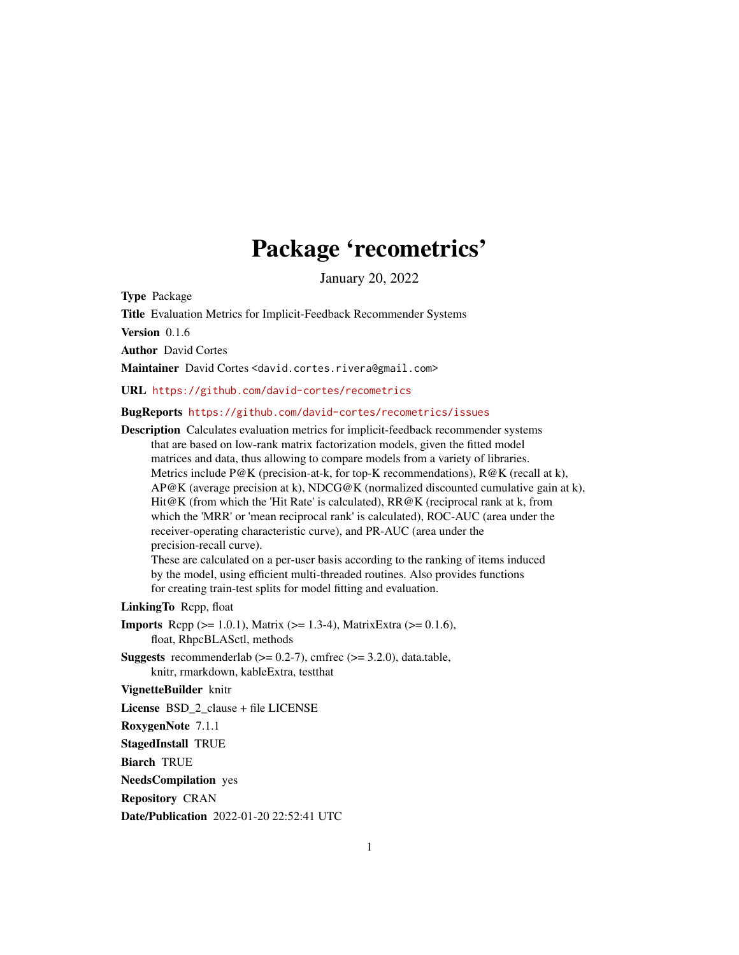# Package 'recometrics'

January 20, 2022

Type Package

Title Evaluation Metrics for Implicit-Feedback Recommender Systems

Version 0.1.6

Author David Cortes

Maintainer David Cortes <david.cortes.rivera@gmail.com>

URL <https://github.com/david-cortes/recometrics>

BugReports <https://github.com/david-cortes/recometrics/issues>

Description Calculates evaluation metrics for implicit-feedback recommender systems that are based on low-rank matrix factorization models, given the fitted model matrices and data, thus allowing to compare models from a variety of libraries. Metrics include P@K (precision-at-k, for top-K recommendations),  $R@K$  (recall at k),  $AP@K$  (average precision at k), NDCG@K (normalized discounted cumulative gain at k), Hit@K (from which the 'Hit Rate' is calculated), RR@K (reciprocal rank at k, from which the 'MRR' or 'mean reciprocal rank' is calculated), ROC-AUC (area under the receiver-operating characteristic curve), and PR-AUC (area under the precision-recall curve). These are calculated on a per-user basis according to the ranking of items induced

by the model, using efficient multi-threaded routines. Also provides functions for creating train-test splits for model fitting and evaluation.

LinkingTo Rcpp, float

- **Imports** Rcpp ( $>= 1.0.1$ ), Matrix ( $>= 1.3-4$ ), MatrixExtra ( $>= 0.1.6$ ), float, RhpcBLASctl, methods
- **Suggests** recommenderlab  $(>= 0.2\n-7)$ , cmfrec  $(>= 3.2.0)$ , data.table, knitr, rmarkdown, kableExtra, testthat

# VignetteBuilder knitr

License BSD\_2\_clause + file LICENSE

RoxygenNote 7.1.1

StagedInstall TRUE

Biarch TRUE

NeedsCompilation yes

Repository CRAN

Date/Publication 2022-01-20 22:52:41 UTC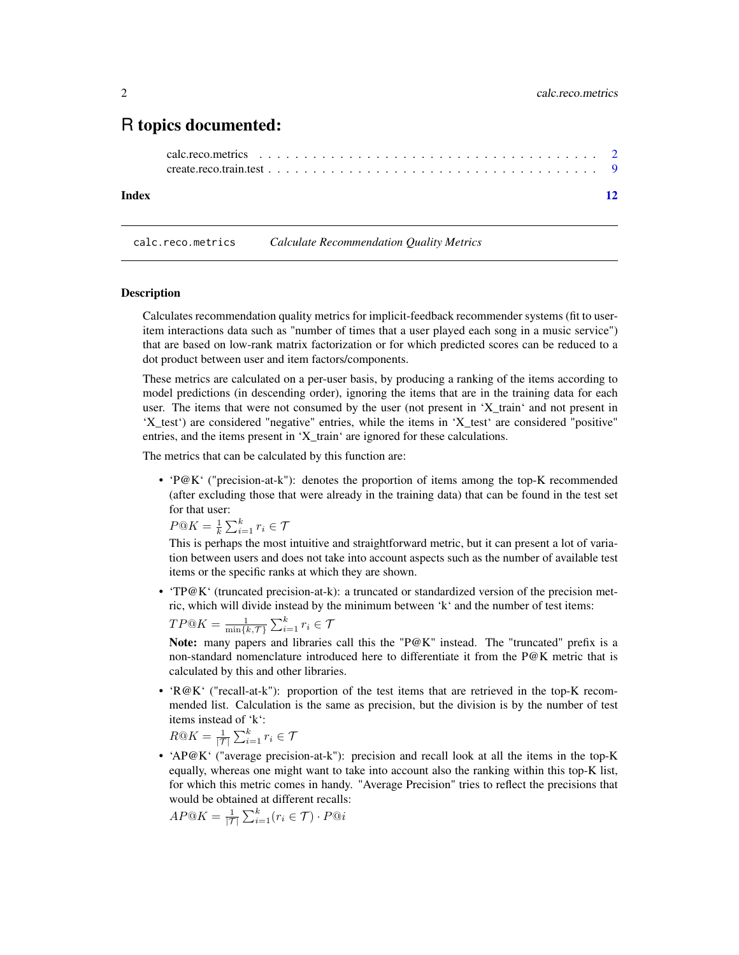# <span id="page-1-0"></span>R topics documented:

## **Index** [12](#page-11-0)

<span id="page-1-1"></span>calc.reco.metrics *Calculate Recommendation Quality Metrics*

#### Description

Calculates recommendation quality metrics for implicit-feedback recommender systems (fit to useritem interactions data such as "number of times that a user played each song in a music service") that are based on low-rank matrix factorization or for which predicted scores can be reduced to a dot product between user and item factors/components.

These metrics are calculated on a per-user basis, by producing a ranking of the items according to model predictions (in descending order), ignoring the items that are in the training data for each user. The items that were not consumed by the user (not present in 'X\_train' and not present in 'X\_test') are considered "negative" entries, while the items in 'X\_test' are considered "positive" entries, and the items present in 'X\_train' are ignored for these calculations.

The metrics that can be calculated by this function are:

• 'P@K' ("precision-at-k"): denotes the proportion of items among the top-K recommended (after excluding those that were already in the training data) that can be found in the test set for that user:

 $P@K = \frac{1}{k} \sum_{i=1}^{k} r_i \in \mathcal{T}$ 

This is perhaps the most intuitive and straightforward metric, but it can present a lot of variation between users and does not take into account aspects such as the number of available test items or the specific ranks at which they are shown.

• 'TP@K' (truncated precision-at-k): a truncated or standardized version of the precision metric, which will divide instead by the minimum between 'k' and the number of test items:

$$
TP@K = \frac{1}{\min\{k, \mathcal{T}\}} \sum_{i=1}^{k} r_i \in \mathcal{T}
$$

Note: many papers and libraries call this the "P@K" instead. The "truncated" prefix is a non-standard nomenclature introduced here to differentiate it from the P@K metric that is calculated by this and other libraries.

• 'R@K' ("recall-at-k"): proportion of the test items that are retrieved in the top-K recommended list. Calculation is the same as precision, but the division is by the number of test items instead of 'k':

$$
R@K = \frac{1}{|\mathcal{T}|} \sum_{i=1}^{k} r_i \in \mathcal{T}
$$

• 'AP@K' ("average precision-at-k"): precision and recall look at all the items in the top-K equally, whereas one might want to take into account also the ranking within this top-K list, for which this metric comes in handy. "Average Precision" tries to reflect the precisions that would be obtained at different recalls:

$$
AP@K = \frac{1}{|\mathcal{T}|} \sum_{i=1}^{k} (r_i \in \mathcal{T}) \cdot P@i
$$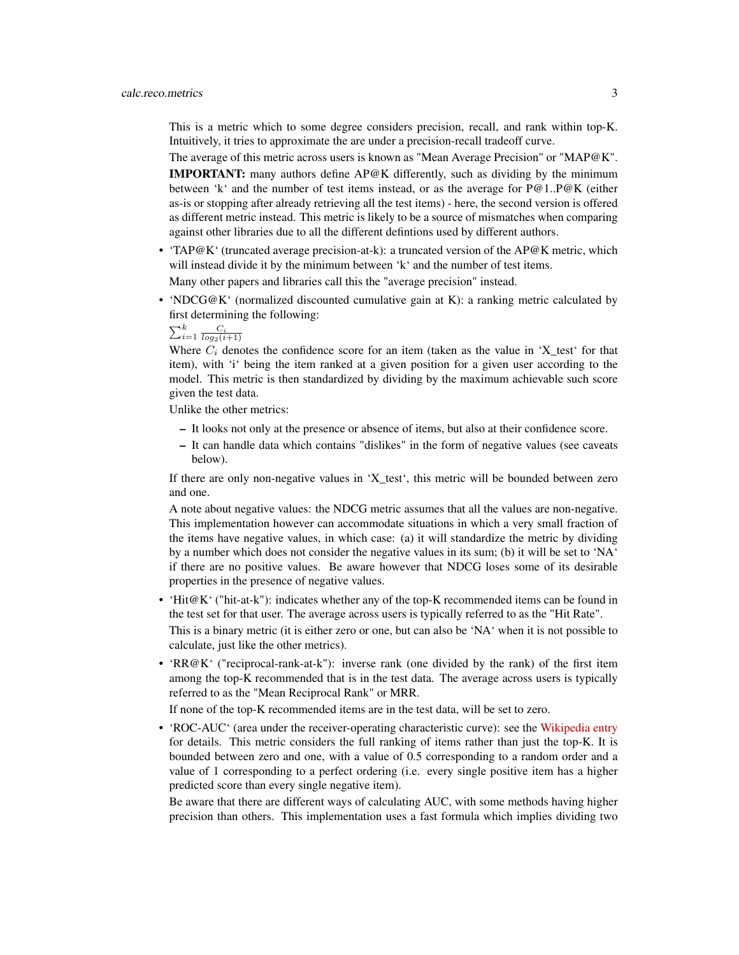This is a metric which to some degree considers precision, recall, and rank within top-K. Intuitively, it tries to approximate the are under a precision-recall tradeoff curve.

The average of this metric across users is known as "Mean Average Precision" or "MAP@K". IMPORTANT: many authors define AP@K differently, such as dividing by the minimum between 'k' and the number of test items instead, or as the average for P@1..P@K (either as-is or stopping after already retrieving all the test items) - here, the second version is offered as different metric instead. This metric is likely to be a source of mismatches when comparing against other libraries due to all the different defintions used by different authors.

• 'TAP@K' (truncated average precision-at-k): a truncated version of the AP@K metric, which will instead divide it by the minimum between 'k' and the number of test items.

Many other papers and libraries call this the "average precision" instead.

• 'NDCG@K' (normalized discounted cumulative gain at K): a ranking metric calculated by first determining the following:

 $\sum_{i=1}^k \frac{C_i}{log_2(i+1)}$ 

Where  $C_i$  denotes the confidence score for an item (taken as the value in 'X\_test' for that item), with 'i' being the item ranked at a given position for a given user according to the model. This metric is then standardized by dividing by the maximum achievable such score given the test data.

Unlike the other metrics:

- It looks not only at the presence or absence of items, but also at their confidence score.
- It can handle data which contains "dislikes" in the form of negative values (see caveats below).

If there are only non-negative values in 'X\_test', this metric will be bounded between zero and one.

A note about negative values: the NDCG metric assumes that all the values are non-negative. This implementation however can accommodate situations in which a very small fraction of the items have negative values, in which case: (a) it will standardize the metric by dividing by a number which does not consider the negative values in its sum; (b) it will be set to 'NA' if there are no positive values. Be aware however that NDCG loses some of its desirable properties in the presence of negative values.

• 'Hit@K' ("hit-at-k"): indicates whether any of the top-K recommended items can be found in the test set for that user. The average across users is typically referred to as the "Hit Rate".

This is a binary metric (it is either zero or one, but can also be 'NA' when it is not possible to calculate, just like the other metrics).

• 'RR@K' ("reciprocal-rank-at-k"): inverse rank (one divided by the rank) of the first item among the top-K recommended that is in the test data. The average across users is typically referred to as the "Mean Reciprocal Rank" or MRR.

If none of the top-K recommended items are in the test data, will be set to zero.

• 'ROC-AUC' (area under the receiver-operating characteristic curve): see the [Wikipedia entry](https://en.wikipedia.org/wiki/Receiver_operating_characteristic) for details. This metric considers the full ranking of items rather than just the top-K. It is bounded between zero and one, with a value of 0.5 corresponding to a random order and a value of 1 corresponding to a perfect ordering (i.e. every single positive item has a higher predicted score than every single negative item).

Be aware that there are different ways of calculating AUC, with some methods having higher precision than others. This implementation uses a fast formula which implies dividing two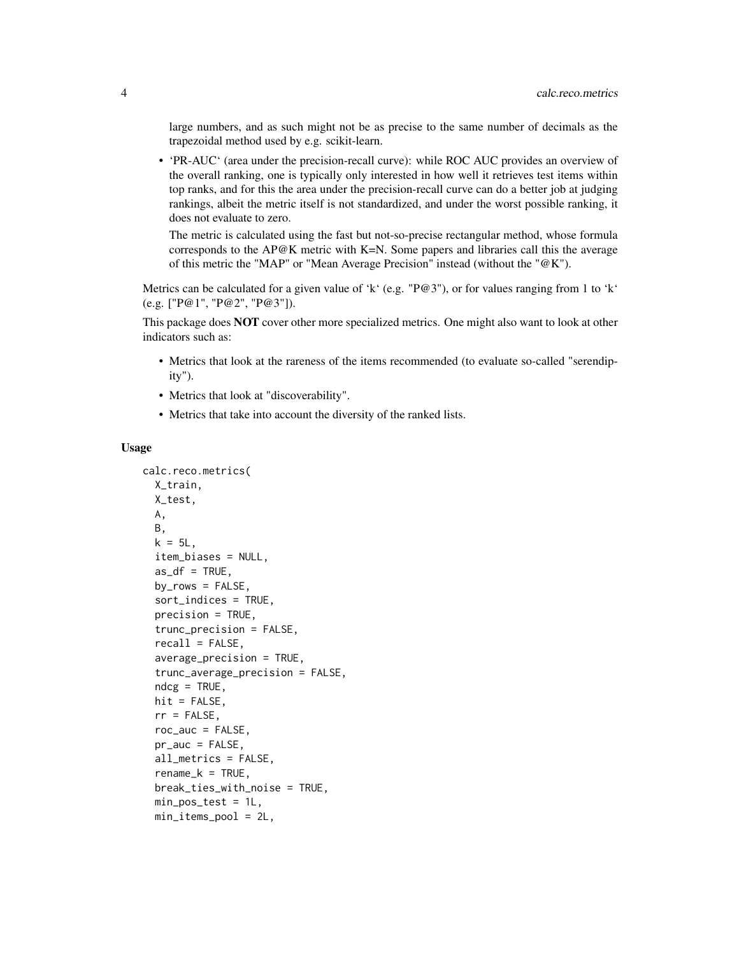large numbers, and as such might not be as precise to the same number of decimals as the trapezoidal method used by e.g. scikit-learn.

• 'PR-AUC' (area under the precision-recall curve): while ROC AUC provides an overview of the overall ranking, one is typically only interested in how well it retrieves test items within top ranks, and for this the area under the precision-recall curve can do a better job at judging rankings, albeit the metric itself is not standardized, and under the worst possible ranking, it does not evaluate to zero.

The metric is calculated using the fast but not-so-precise rectangular method, whose formula corresponds to the AP@K metric with K=N. Some papers and libraries call this the average of this metric the "MAP" or "Mean Average Precision" instead (without the "@K").

Metrics can be calculated for a given value of 'k' (e.g. "P@3"), or for values ranging from 1 to 'k' (e.g. ["P@1", "P@2", "P@3"]).

This package does **NOT** cover other more specialized metrics. One might also want to look at other indicators such as:

- Metrics that look at the rareness of the items recommended (to evaluate so-called "serendipity").
- Metrics that look at "discoverability".
- Metrics that take into account the diversity of the ranked lists.

#### Usage

```
calc.reco.metrics(
 X_train,
 X_test,
 A,
 B,
 k = 5L,
  item_biases = NULL,
  as\_df = TRUE,by_{rows} = FALSE,sort_indices = TRUE,
  precision = TRUE,
  trunc_precision = FALSE,
  recall = FALSE,average_precision = TRUE,
  trunc_average_precision = FALSE,
  ndcg = TRUE,hit = FALSE,rr = FALSE,roc_auc = FALSE,pr_auc = FALSE,
  all_metrics = FALSE,
  rename_k = TRUE,break_ties_with_noise = TRUE,
  min_pos_test = 1L,
  min_items_pool = 2L,
```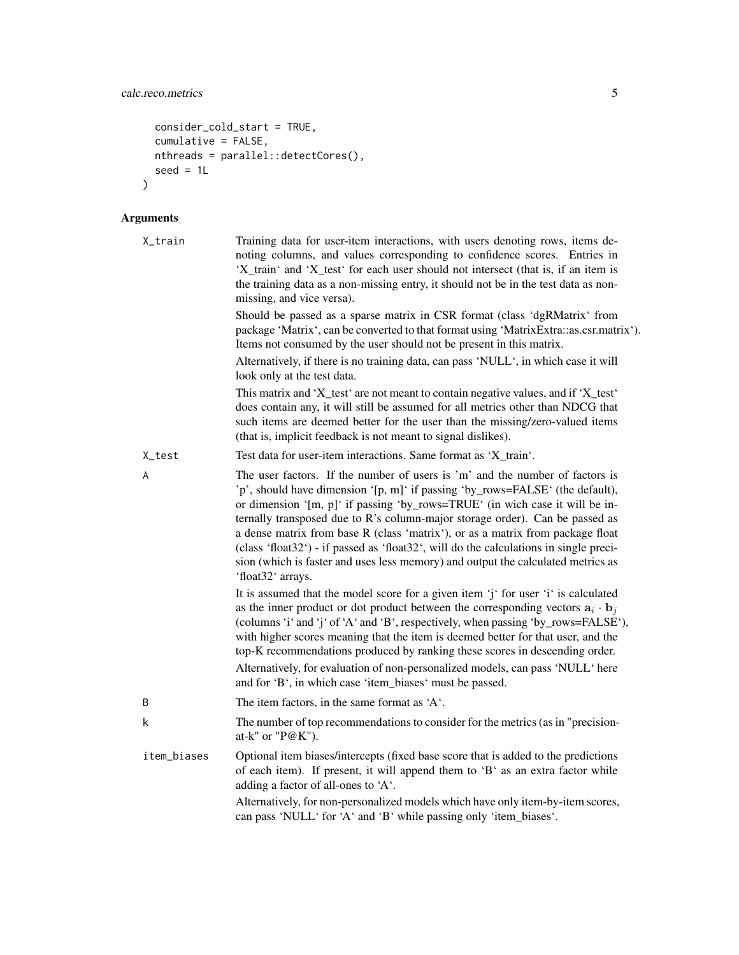```
consider_cold_start = TRUE,
 cumulative = FALSE,
 nthreads = parallel::detectCores(),
 seed = 1L\mathcal{L}
```
# Arguments

| X_train     | Training data for user-item interactions, with users denoting rows, items de-<br>noting columns, and values corresponding to confidence scores. Entries in<br>'X_train' and 'X_test' for each user should not intersect (that is, if an item is<br>the training data as a non-missing entry, it should not be in the test data as non-<br>missing, and vice versa).                                                                                                                                                                                                                                               |
|-------------|-------------------------------------------------------------------------------------------------------------------------------------------------------------------------------------------------------------------------------------------------------------------------------------------------------------------------------------------------------------------------------------------------------------------------------------------------------------------------------------------------------------------------------------------------------------------------------------------------------------------|
|             | Should be passed as a sparse matrix in CSR format (class 'dgRMatrix' from<br>package 'Matrix', can be converted to that format using 'MatrixExtra::as.csr.matrix').<br>Items not consumed by the user should not be present in this matrix.                                                                                                                                                                                                                                                                                                                                                                       |
|             | Alternatively, if there is no training data, can pass 'NULL', in which case it will<br>look only at the test data.                                                                                                                                                                                                                                                                                                                                                                                                                                                                                                |
|             | This matrix and 'X_test' are not meant to contain negative values, and if 'X_test'<br>does contain any, it will still be assumed for all metrics other than NDCG that<br>such items are deemed better for the user than the missing/zero-valued items<br>(that is, implicit feedback is not meant to signal dislikes).                                                                                                                                                                                                                                                                                            |
| X_test      | Test data for user-item interactions. Same format as 'X_train'.                                                                                                                                                                                                                                                                                                                                                                                                                                                                                                                                                   |
| A           | The user factors. If the number of users is 'm' and the number of factors is<br>'p', should have dimension '[p, m]' if passing 'by_rows=FALSE' (the default),<br>or dimension '[m, p]' if passing 'by_rows=TRUE' (in wich case it will be in-<br>ternally transposed due to R's column-major storage order). Can be passed as<br>a dense matrix from base R (class 'matrix'), or as a matrix from package float<br>(class 'float32') - if passed as 'float32', will do the calculations in single preci-<br>sion (which is faster and uses less memory) and output the calculated metrics as<br>'float32' arrays. |
|             | It is assumed that the model score for a given item 'j' for user 'i' is calculated<br>as the inner product or dot product between the corresponding vectors $a_i \cdot b_j$<br>(columns 'i' and 'j' of 'A' and 'B', respectively, when passing 'by_rows=FALSE'),<br>with higher scores meaning that the item is deemed better for that user, and the<br>top-K recommendations produced by ranking these scores in descending order.<br>Alternatively, for evaluation of non-personalized models, can pass 'NULL' here<br>and for 'B', in which case 'item_biases' must be passed.                                 |
| B           | The item factors, in the same format as 'A'.                                                                                                                                                                                                                                                                                                                                                                                                                                                                                                                                                                      |
| k           | The number of top recommendations to consider for the metrics (as in "precision-<br>at-k" or " $P@K$ ").                                                                                                                                                                                                                                                                                                                                                                                                                                                                                                          |
| item_biases | Optional item biases/intercepts (fixed base score that is added to the predictions<br>of each item). If present, it will append them to 'B' as an extra factor while<br>adding a factor of all-ones to 'A'.                                                                                                                                                                                                                                                                                                                                                                                                       |
|             | Alternatively, for non-personalized models which have only item-by-item scores,<br>can pass 'NULL' for 'A' and 'B' while passing only 'item_biases'.                                                                                                                                                                                                                                                                                                                                                                                                                                                              |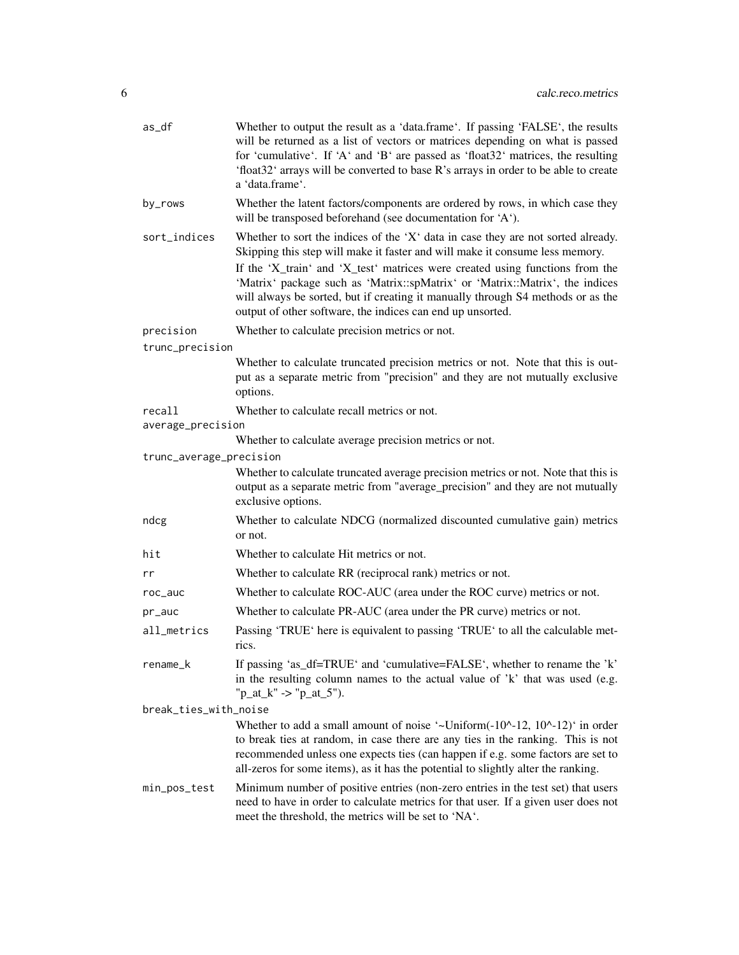| as_df                   | Whether to output the result as a 'data.frame'. If passing 'FALSE', the results<br>will be returned as a list of vectors or matrices depending on what is passed<br>for 'cumulative'. If 'A' and 'B' are passed as 'float32' matrices, the resulting<br>'float32' arrays will be converted to base R's arrays in order to be able to create<br>a 'data.frame'.                                                                                                                    |
|-------------------------|-----------------------------------------------------------------------------------------------------------------------------------------------------------------------------------------------------------------------------------------------------------------------------------------------------------------------------------------------------------------------------------------------------------------------------------------------------------------------------------|
| by_rows                 | Whether the latent factors/components are ordered by rows, in which case they<br>will be transposed beforehand (see documentation for 'A').                                                                                                                                                                                                                                                                                                                                       |
| sort_indices            | Whether to sort the indices of the 'X' data in case they are not sorted already.<br>Skipping this step will make it faster and will make it consume less memory.<br>If the 'X_train' and 'X_test' matrices were created using functions from the<br>'Matrix' package such as 'Matrix::spMatrix' or 'Matrix::Matrix', the indices<br>will always be sorted, but if creating it manually through S4 methods or as the<br>output of other software, the indices can end up unsorted. |
| precision               | Whether to calculate precision metrics or not.                                                                                                                                                                                                                                                                                                                                                                                                                                    |
| trunc_precision         |                                                                                                                                                                                                                                                                                                                                                                                                                                                                                   |
|                         | Whether to calculate truncated precision metrics or not. Note that this is out-<br>put as a separate metric from "precision" and they are not mutually exclusive<br>options.                                                                                                                                                                                                                                                                                                      |
| recall                  | Whether to calculate recall metrics or not.                                                                                                                                                                                                                                                                                                                                                                                                                                       |
| average_precision       |                                                                                                                                                                                                                                                                                                                                                                                                                                                                                   |
|                         | Whether to calculate average precision metrics or not.                                                                                                                                                                                                                                                                                                                                                                                                                            |
| trunc_average_precision |                                                                                                                                                                                                                                                                                                                                                                                                                                                                                   |
|                         | Whether to calculate truncated average precision metrics or not. Note that this is<br>output as a separate metric from "average_precision" and they are not mutually<br>exclusive options.                                                                                                                                                                                                                                                                                        |
| ndcg                    | Whether to calculate NDCG (normalized discounted cumulative gain) metrics<br>or not.                                                                                                                                                                                                                                                                                                                                                                                              |
| hit                     | Whether to calculate Hit metrics or not.                                                                                                                                                                                                                                                                                                                                                                                                                                          |
| rr                      | Whether to calculate RR (reciprocal rank) metrics or not.                                                                                                                                                                                                                                                                                                                                                                                                                         |
| roc_auc                 | Whether to calculate ROC-AUC (area under the ROC curve) metrics or not.                                                                                                                                                                                                                                                                                                                                                                                                           |
| pr_auc                  | Whether to calculate PR-AUC (area under the PR curve) metrics or not.                                                                                                                                                                                                                                                                                                                                                                                                             |
| all_metrics             | Passing 'TRUE' here is equivalent to passing 'TRUE' to all the calculable met-<br>rics.                                                                                                                                                                                                                                                                                                                                                                                           |
| rename_k                | If passing 'as_df=TRUE' and 'cumulative=FALSE', whether to rename the 'k'<br>in the resulting column names to the actual value of 'k' that was used (e.g.<br>" $p_at_k"$ -> " $p_at_5"$ ).                                                                                                                                                                                                                                                                                        |
| break_ties_with_noise   |                                                                                                                                                                                                                                                                                                                                                                                                                                                                                   |
|                         | Whether to add a small amount of noise '~Uniform $(-10^{\circ}-12, 10^{\circ}-12)$ ' in order<br>to break ties at random, in case there are any ties in the ranking. This is not<br>recommended unless one expects ties (can happen if e.g. some factors are set to<br>all-zeros for some items), as it has the potential to slightly alter the ranking.                                                                                                                          |
| min_pos_test            | Minimum number of positive entries (non-zero entries in the test set) that users<br>need to have in order to calculate metrics for that user. If a given user does not<br>meet the threshold, the metrics will be set to 'NA'.                                                                                                                                                                                                                                                    |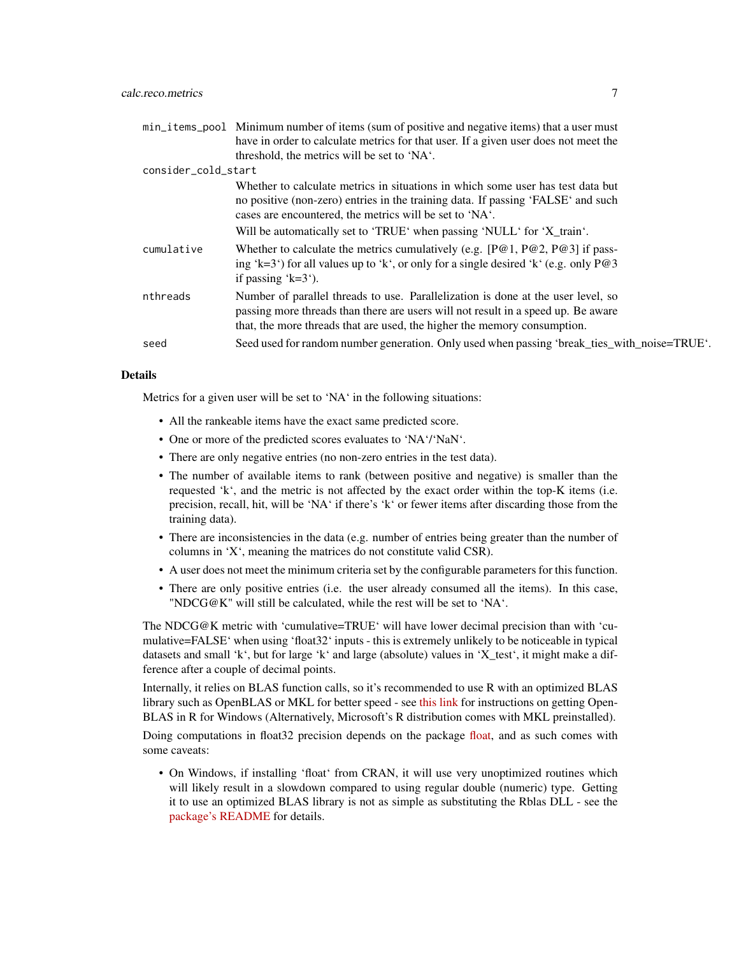|                     | min_items_pool Minimum number of items (sum of positive and negative items) that a user must                                                                                                                                                      |
|---------------------|---------------------------------------------------------------------------------------------------------------------------------------------------------------------------------------------------------------------------------------------------|
|                     | have in order to calculate metrics for that user. If a given user does not meet the                                                                                                                                                               |
|                     | threshold, the metrics will be set to 'NA'.                                                                                                                                                                                                       |
| consider_cold_start |                                                                                                                                                                                                                                                   |
|                     | Whether to calculate metrics in situations in which some user has test data but<br>no positive (non-zero) entries in the training data. If passing 'FALSE' and such<br>cases are encountered, the metrics will be set to 'NA'.                    |
|                     | Will be automatically set to 'TRUE' when passing 'NULL' for 'X_train'.                                                                                                                                                                            |
| cumulative          | Whether to calculate the metrics cumulatively (e.g. $[P@1, P@2, P@3]$ if pass-<br>ing 'k=3') for all values up to 'k', or only for a single desired 'k' (e.g. only $P@3$<br>if passing $k=3$ .                                                    |
| nthreads            | Number of parallel threads to use. Parallelization is done at the user level, so<br>passing more threads than there are users will not result in a speed up. Be aware<br>that, the more threads that are used, the higher the memory consumption. |
| seed                | Seed used for random number generation. Only used when passing 'break_ties_with_noise=TRUE'.                                                                                                                                                      |

#### Details

Metrics for a given user will be set to 'NA' in the following situations:

- All the rankeable items have the exact same predicted score.
- One or more of the predicted scores evaluates to 'NA'/'NaN'.
- There are only negative entries (no non-zero entries in the test data).
- The number of available items to rank (between positive and negative) is smaller than the requested 'k', and the metric is not affected by the exact order within the top-K items (i.e. precision, recall, hit, will be 'NA' if there's 'k' or fewer items after discarding those from the training data).
- There are inconsistencies in the data (e.g. number of entries being greater than the number of columns in 'X', meaning the matrices do not constitute valid CSR).
- A user does not meet the minimum criteria set by the configurable parameters for this function.
- There are only positive entries (i.e. the user already consumed all the items). In this case, "NDCG@K" will still be calculated, while the rest will be set to 'NA'.

The NDCG@K metric with 'cumulative=TRUE' will have lower decimal precision than with 'cumulative=FALSE' when using 'float32' inputs - this is extremely unlikely to be noticeable in typical datasets and small 'k', but for large 'k' and large (absolute) values in 'X\_test', it might make a difference after a couple of decimal points.

Internally, it relies on BLAS function calls, so it's recommended to use R with an optimized BLAS library such as OpenBLAS or MKL for better speed - see [this link](https://github.com/david-cortes/R-openblas-in-windows) for instructions on getting Open-BLAS in R for Windows (Alternatively, Microsoft's R distribution comes with MKL preinstalled).

Doing computations in float32 precision depends on the package [float,](https://cran.r-project.org/package=float) and as such comes with some caveats:

• On Windows, if installing 'float' from CRAN, it will use very unoptimized routines which will likely result in a slowdown compared to using regular double (numeric) type. Getting it to use an optimized BLAS library is not as simple as substituting the Rblas DLL - see the [package's README](https://github.com/wrathematics/float) for details.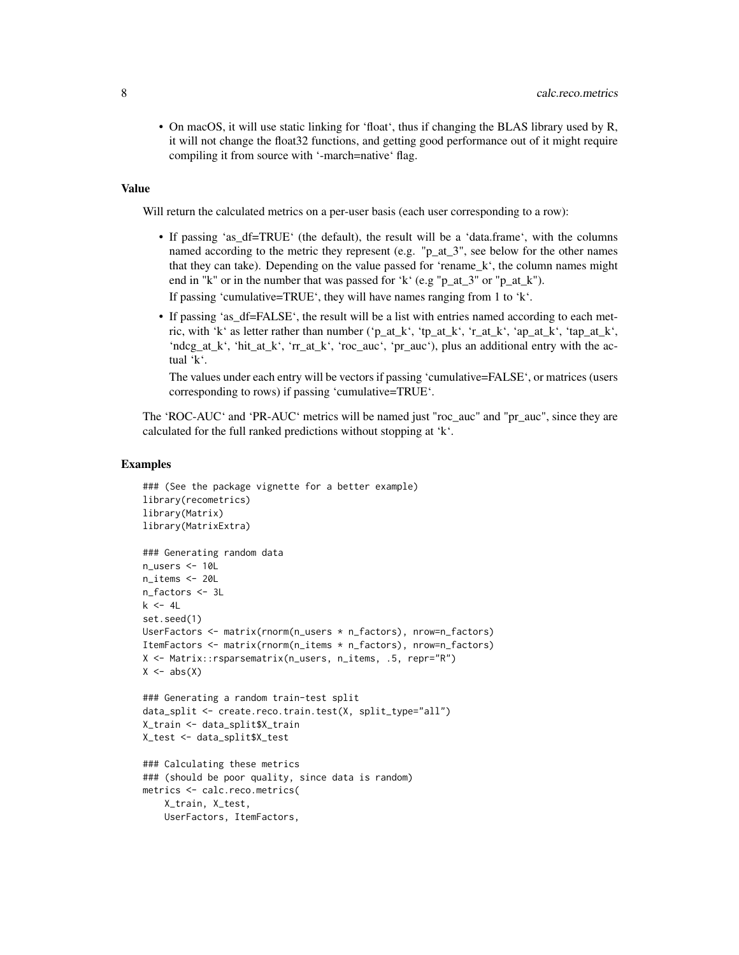• On macOS, it will use static linking for 'float', thus if changing the BLAS library used by R, it will not change the float32 functions, and getting good performance out of it might require compiling it from source with '-march=native' flag.

# Value

Will return the calculated metrics on a per-user basis (each user corresponding to a row):

• If passing 'as\_df=TRUE' (the default), the result will be a 'data.frame', with the columns named according to the metric they represent (e.g. "p\_at\_3", see below for the other names that they can take). Depending on the value passed for 'rename\_k', the column names might end in "k" or in the number that was passed for 'k' (e.g "p\_at\_3" or "p\_at\_k"). If passing 'cumulative=TRUE', they will have names ranging from 1 to 'k'.

• If passing 'as\_df=FALSE', the result will be a list with entries named according to each metric, with 'k' as letter rather than number ('p\_at\_k', 'tp\_at\_k', 'r\_at\_k', 'ap\_at\_k', 'tap\_at\_k', 'ndcg\_at\_k', 'hit\_at\_k', 'rr\_at\_k', 'roc\_auc', 'pr\_auc'), plus an additional entry with the actual 'k'.

The values under each entry will be vectors if passing 'cumulative=FALSE', or matrices (users corresponding to rows) if passing 'cumulative=TRUE'.

The 'ROC-AUC' and 'PR-AUC' metrics will be named just "roc\_auc" and "pr\_auc", since they are calculated for the full ranked predictions without stopping at 'k'.

# Examples

```
### (See the package vignette for a better example)
library(recometrics)
library(Matrix)
library(MatrixExtra)
### Generating random data
n_users <- 10L
n_items <- 20L
n_factors <- 3L
k <- 4Lset.seed(1)
UserFactors <- matrix(rnorm(n_users * n_factors), nrow=n_factors)
ItemFactors <- matrix(rnorm(n_items * n_factors), nrow=n_factors)
X <- Matrix::rsparsematrix(n_users, n_items, .5, repr="R")
X \leftarrow abs(X)### Generating a random train-test split
data_split <- create.reco.train.test(X, split_type="all")
X_train <- data_split$X_train
X_test <- data_split$X_test
### Calculating these metrics
### (should be poor quality, since data is random)
metrics <- calc.reco.metrics(
   X_train, X_test,
   UserFactors, ItemFactors,
```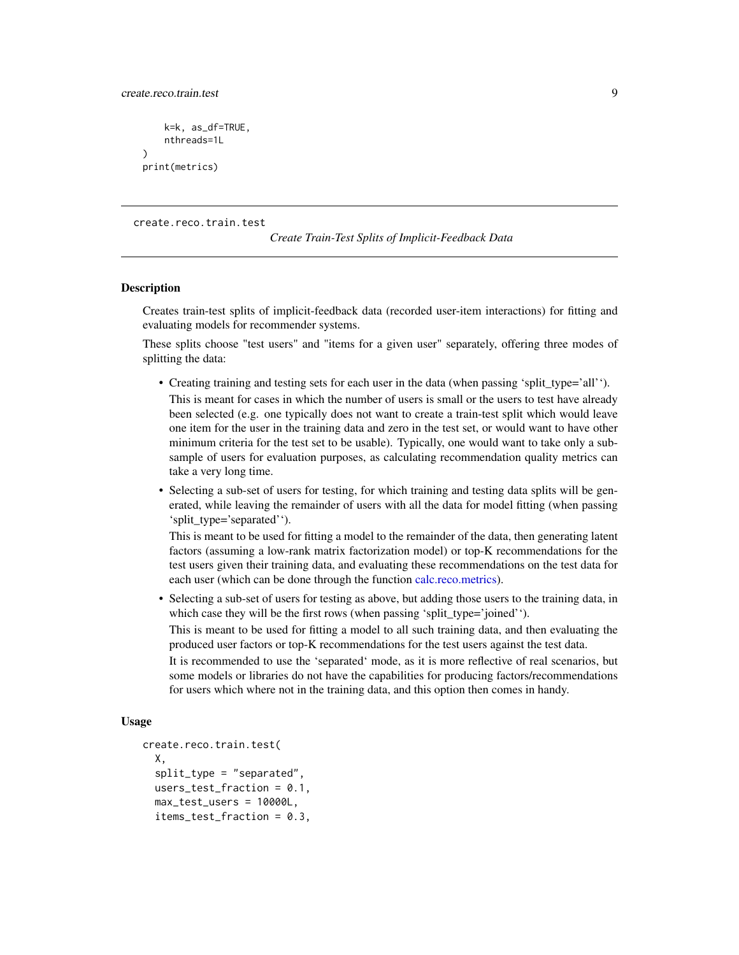<span id="page-8-0"></span>create.reco.train.test 9

```
k=k, as_df=TRUE,
    nthreads=1L
)
print(metrics)
```
create.reco.train.test

*Create Train-Test Splits of Implicit-Feedback Data*

# Description

Creates train-test splits of implicit-feedback data (recorded user-item interactions) for fitting and evaluating models for recommender systems.

These splits choose "test users" and "items for a given user" separately, offering three modes of splitting the data:

- Creating training and testing sets for each user in the data (when passing 'split\_type='all''). This is meant for cases in which the number of users is small or the users to test have already been selected (e.g. one typically does not want to create a train-test split which would leave one item for the user in the training data and zero in the test set, or would want to have other minimum criteria for the test set to be usable). Typically, one would want to take only a subsample of users for evaluation purposes, as calculating recommendation quality metrics can take a very long time.
- Selecting a sub-set of users for testing, for which training and testing data splits will be generated, while leaving the remainder of users with all the data for model fitting (when passing 'split\_type='separated'').

This is meant to be used for fitting a model to the remainder of the data, then generating latent factors (assuming a low-rank matrix factorization model) or top-K recommendations for the test users given their training data, and evaluating these recommendations on the test data for each user (which can be done through the function [calc.reco.metrics\)](#page-1-1).

• Selecting a sub-set of users for testing as above, but adding those users to the training data, in which case they will be the first rows (when passing 'split\_type='joined'').

This is meant to be used for fitting a model to all such training data, and then evaluating the produced user factors or top-K recommendations for the test users against the test data.

It is recommended to use the 'separated' mode, as it is more reflective of real scenarios, but some models or libraries do not have the capabilities for producing factors/recommendations for users which where not in the training data, and this option then comes in handy.

# Usage

```
create.reco.train.test(
 X,
  split_type = "separated",
  users_test_fraction = 0.1,
  max_test_users = 10000L,
  items_test_fraction = 0.3,
```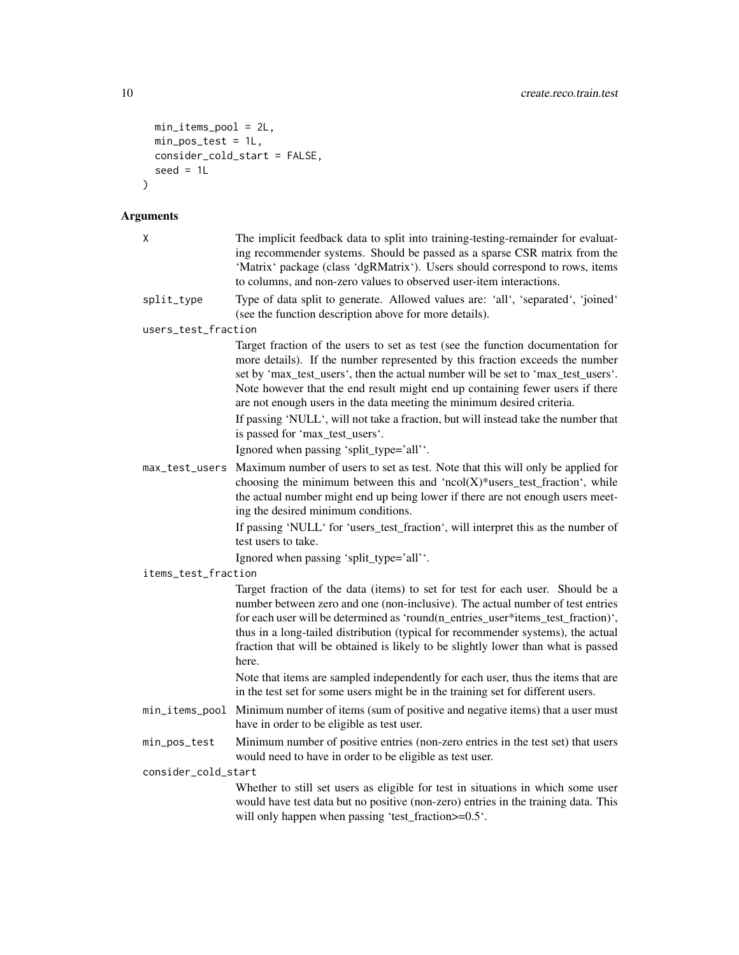```
min_items_pool = 2L,
  min_pos_test = 1L,
  \overline{\text{const}} = FALSE,
  seed = 1L\overline{\phantom{a}}
```
# Arguments

| χ                   | The implicit feedback data to split into training-testing-remainder for evaluat-<br>ing recommender systems. Should be passed as a sparse CSR matrix from the<br>'Matrix' package (class 'dgRMatrix'). Users should correspond to rows, items<br>to columns, and non-zero values to observed user-item interactions.                                                                                                                   |
|---------------------|----------------------------------------------------------------------------------------------------------------------------------------------------------------------------------------------------------------------------------------------------------------------------------------------------------------------------------------------------------------------------------------------------------------------------------------|
| split_type          | Type of data split to generate. Allowed values are: 'all', 'separated', 'joined'<br>(see the function description above for more details).                                                                                                                                                                                                                                                                                             |
| users_test_fraction |                                                                                                                                                                                                                                                                                                                                                                                                                                        |
|                     | Target fraction of the users to set as test (see the function documentation for<br>more details). If the number represented by this fraction exceeds the number<br>set by 'max_test_users', then the actual number will be set to 'max_test_users'.<br>Note however that the end result might end up containing fewer users if there<br>are not enough users in the data meeting the minimum desired criteria.                         |
|                     | If passing 'NULL', will not take a fraction, but will instead take the number that<br>is passed for 'max_test_users'.                                                                                                                                                                                                                                                                                                                  |
|                     | Ignored when passing 'split_type='all''.                                                                                                                                                                                                                                                                                                                                                                                               |
|                     | Maximum number of users to set as test. Note that this will only be applied for                                                                                                                                                                                                                                                                                                                                                        |
| max_test_users      | choosing the minimum between this and ' $ncol(X)$ <sup>*</sup> users_test_fraction', while<br>the actual number might end up being lower if there are not enough users meet-<br>ing the desired minimum conditions.                                                                                                                                                                                                                    |
|                     | If passing 'NULL' for 'users_test_fraction', will interpret this as the number of<br>test users to take.                                                                                                                                                                                                                                                                                                                               |
|                     | Ignored when passing 'split_type='all''.                                                                                                                                                                                                                                                                                                                                                                                               |
| items_test_fraction |                                                                                                                                                                                                                                                                                                                                                                                                                                        |
|                     | Target fraction of the data (items) to set for test for each user. Should be a<br>number between zero and one (non-inclusive). The actual number of test entries<br>for each user will be determined as 'round(n_entries_user*items_test_fraction)',<br>thus in a long-tailed distribution (typical for recommender systems), the actual<br>fraction that will be obtained is likely to be slightly lower than what is passed<br>here. |
|                     | Note that items are sampled independently for each user, thus the items that are<br>in the test set for some users might be in the training set for different users.                                                                                                                                                                                                                                                                   |
| min_items_pool      | Minimum number of items (sum of positive and negative items) that a user must<br>have in order to be eligible as test user.                                                                                                                                                                                                                                                                                                            |
| min_pos_test        | Minimum number of positive entries (non-zero entries in the test set) that users<br>would need to have in order to be eligible as test user.                                                                                                                                                                                                                                                                                           |
| consider_cold_start |                                                                                                                                                                                                                                                                                                                                                                                                                                        |
|                     | Whether to still set users as eligible for test in situations in which some user<br>would have test data but no positive (non-zero) entries in the training data. This<br>will only happen when passing 'test_fraction>=0.5'.                                                                                                                                                                                                          |
|                     |                                                                                                                                                                                                                                                                                                                                                                                                                                        |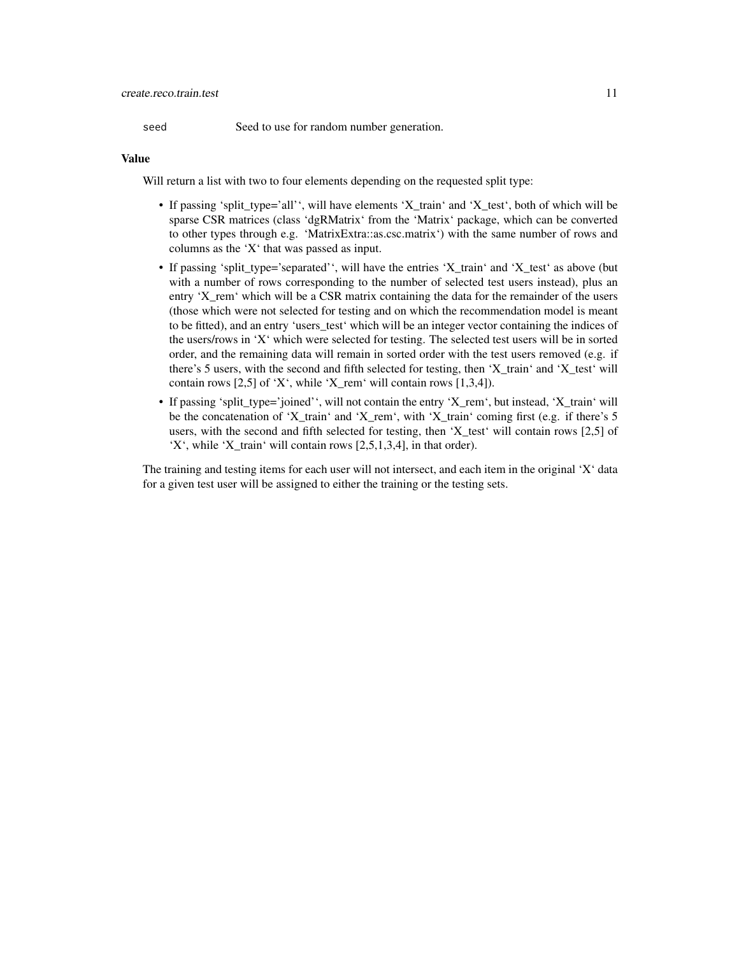seed Seed to use for random number generation.

## Value

Will return a list with two to four elements depending on the requested split type:

- If passing 'split\_type='all'', will have elements 'X\_train' and 'X\_test', both of which will be sparse CSR matrices (class 'dgRMatrix' from the 'Matrix' package, which can be converted to other types through e.g. 'MatrixExtra::as.csc.matrix') with the same number of rows and columns as the 'X' that was passed as input.
- If passing 'split\_type='separated'', will have the entries 'X\_train' and 'X\_test' as above (but with a number of rows corresponding to the number of selected test users instead), plus an entry 'X\_rem' which will be a CSR matrix containing the data for the remainder of the users (those which were not selected for testing and on which the recommendation model is meant to be fitted), and an entry 'users\_test' which will be an integer vector containing the indices of the users/rows in 'X' which were selected for testing. The selected test users will be in sorted order, and the remaining data will remain in sorted order with the test users removed (e.g. if there's 5 users, with the second and fifth selected for testing, then 'X train' and 'X test' will contain rows  $[2,5]$  of 'X', while 'X\_rem' will contain rows  $[1,3,4]$ ).
- If passing 'split\_type='joined'', will not contain the entry 'X\_rem', but instead, 'X\_train' will be the concatenation of 'X\_train' and 'X\_rem', with 'X\_train' coming first (e.g. if there's 5 users, with the second and fifth selected for testing, then 'X\_test' will contain rows [2,5] of 'X', while 'X train' will contain rows  $[2,5,1,3,4]$ , in that order).

The training and testing items for each user will not intersect, and each item in the original 'X' data for a given test user will be assigned to either the training or the testing sets.